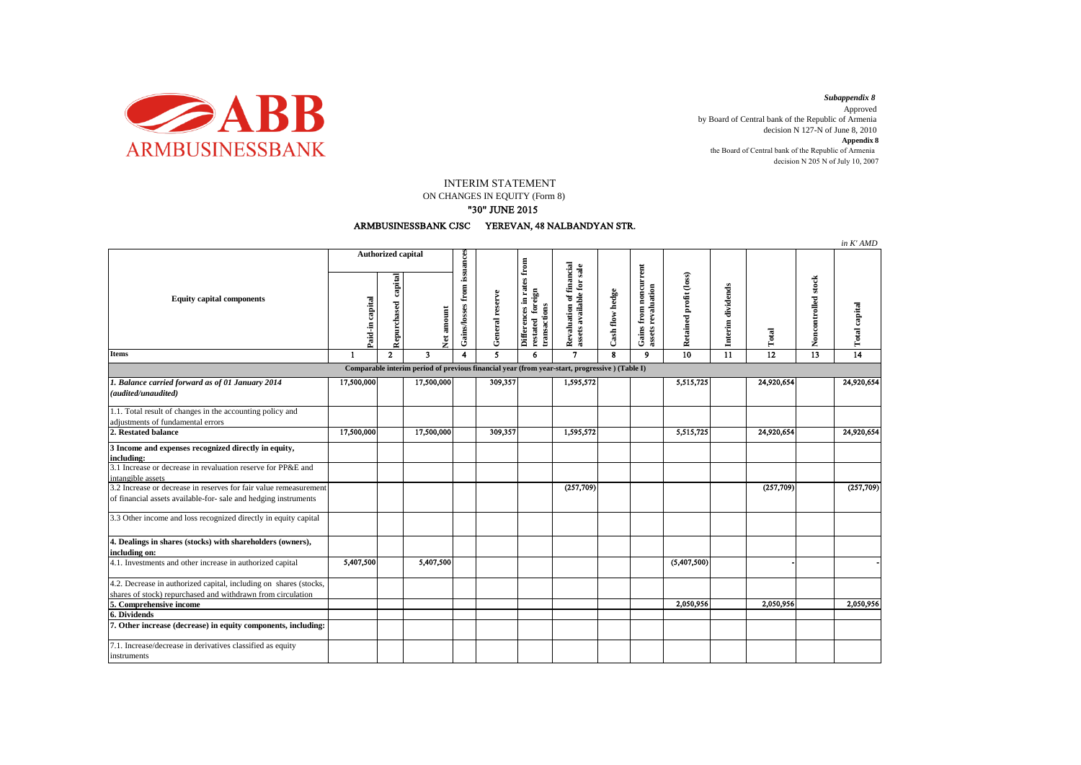

decision N 205 N of July 10, 2007 *Subappendix 8*  Approved by Board of Central bank of the Republic of Armenia decision N 127-N of June 8, 2010 **Appendix 8** the Board of Central bank of the Republic of Armenia

## INTERIM STATEMENT

ON CHANGES IN EQUITY (Form 8)

## "30" JUNE 2015



|                                                                                                                                      |                           |                        |            |                                           |                 |                                                             |                                                  |                 |                                             |                        |                   |            |                     | in K'AMD      |
|--------------------------------------------------------------------------------------------------------------------------------------|---------------------------|------------------------|------------|-------------------------------------------|-----------------|-------------------------------------------------------------|--------------------------------------------------|-----------------|---------------------------------------------|------------------------|-------------------|------------|---------------------|---------------|
| <b>Equity capital components</b>                                                                                                     | <b>Authorized capital</b> |                        |            |                                           |                 | from                                                        | sale                                             |                 |                                             |                        |                   |            |                     |               |
|                                                                                                                                      | Paid-in capital           | capital<br>Repurchased |            | Gains/losses from issuances<br>Net amount | General reserve | Differences in rates fi<br>restated foreign<br>transactions | Revaluation of financial<br>assets available for | Cash flow hedge | Gains from noncurrent<br>assets revaluation | Retained profit (loss) | Interim dividends | Total      | Noncontrolled stock | Total capital |
| <b>Items</b>                                                                                                                         | $\mathbf{1}$              | $\overline{2}$         | 3          | 4                                         | 5               | 6                                                           | $\overline{7}$                                   | 8               | 9                                           | $\overline{10}$        | 11                | 12         | 13                  | 14            |
| Comparable interim period of previous financial year (from year-start, progressive) (Table I)                                        |                           |                        |            |                                           |                 |                                                             |                                                  |                 |                                             |                        |                   |            |                     |               |
| 1. Balance carried forward as of 01 January 2014<br>(audited/unaudited)                                                              | 17,500,000                |                        | 17,500,000 |                                           | 309,357         |                                                             | 1,595,572                                        |                 |                                             | 5,515,725              |                   | 24,920,654 |                     | 24,920,654    |
| 1.1. Total result of changes in the accounting policy and                                                                            |                           |                        |            |                                           |                 |                                                             |                                                  |                 |                                             |                        |                   |            |                     |               |
| adjustments of fundamental errors                                                                                                    |                           |                        |            |                                           |                 |                                                             |                                                  |                 |                                             |                        |                   |            |                     |               |
| 2. Restated balance                                                                                                                  | 17,500,000                |                        | 17,500,000 |                                           | 309,357         |                                                             | 1,595,572                                        |                 |                                             | 5,515,725              |                   | 24,920,654 |                     | 24,920,654    |
| 3 Income and expenses recognized directly in equity,<br>including:                                                                   |                           |                        |            |                                           |                 |                                                             |                                                  |                 |                                             |                        |                   |            |                     |               |
| 3.1 Increase or decrease in revaluation reserve for PP&E and<br>intangible assets                                                    |                           |                        |            |                                           |                 |                                                             |                                                  |                 |                                             |                        |                   |            |                     |               |
| 3.2 Increase or decrease in reserves for fair value remeasurement<br>of financial assets available-for- sale and hedging instruments |                           |                        |            |                                           |                 |                                                             | (257,709)                                        |                 |                                             |                        |                   | (257,709)  |                     | (257, 709)    |
| 3.3 Other income and loss recognized directly in equity capital                                                                      |                           |                        |            |                                           |                 |                                                             |                                                  |                 |                                             |                        |                   |            |                     |               |
| 4. Dealings in shares (stocks) with shareholders (owners),<br>including on:                                                          |                           |                        |            |                                           |                 |                                                             |                                                  |                 |                                             |                        |                   |            |                     |               |
| 4.1. Investments and other increase in authorized capital                                                                            | 5,407,500                 |                        | 5,407,500  |                                           |                 |                                                             |                                                  |                 |                                             | (5,407,500)            |                   |            |                     |               |
| 4.2. Decrease in authorized capital, including on shares (stocks,                                                                    |                           |                        |            |                                           |                 |                                                             |                                                  |                 |                                             |                        |                   |            |                     |               |
| shares of stock) repurchased and withdrawn from circulation                                                                          |                           |                        |            |                                           |                 |                                                             |                                                  |                 |                                             |                        |                   |            |                     |               |
| 5. Comprehensive income                                                                                                              |                           |                        |            |                                           |                 |                                                             |                                                  |                 |                                             | 2,050,956              |                   | 2,050,956  |                     | 2,050,956     |
| 6. Dividends                                                                                                                         |                           |                        |            |                                           |                 |                                                             |                                                  |                 |                                             |                        |                   |            |                     |               |
| 7. Other increase (decrease) in equity components, including:                                                                        |                           |                        |            |                                           |                 |                                                             |                                                  |                 |                                             |                        |                   |            |                     |               |
| 7.1. Increase/decrease in derivatives classified as equity<br>instruments                                                            |                           |                        |            |                                           |                 |                                                             |                                                  |                 |                                             |                        |                   |            |                     |               |